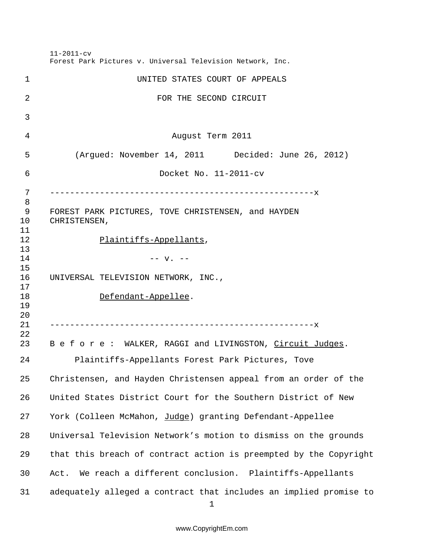11-2011-cv Forest Park Pictures v. Universal Television Network, Inc. UNITED STATES COURT OF APPEALS **FOR THE SECOND CIRCUIT**  August Term 2011 (Argued: November 14, 2011 Decided: June 26, 2012) Docket No. 11-2011-cv -----------------------------------------------------x FOREST PARK PICTURES, TOVE CHRISTENSEN, and HAYDEN CHRISTENSEN, 12 Plaintiffs-Appellants, -- v. -- UNIVERSAL TELEVISION NETWORK, INC., 18 Defendant-Appellee. -----------------------------------------------------x B e f o r e : WALKER, RAGGI and LIVINGSTON, Circuit Judges. Plaintiffs-Appellants Forest Park Pictures, Tove Christensen, and Hayden Christensen appeal from an order of the United States District Court for the Southern District of New York (Colleen McMahon, Judge) granting Defendant-Appellee Universal Television Network's motion to dismiss on the grounds that this breach of contract action is preempted by the Copyright Act. We reach a different conclusion. Plaintiffs-Appellants adequately alleged a contract that includes an implied promise to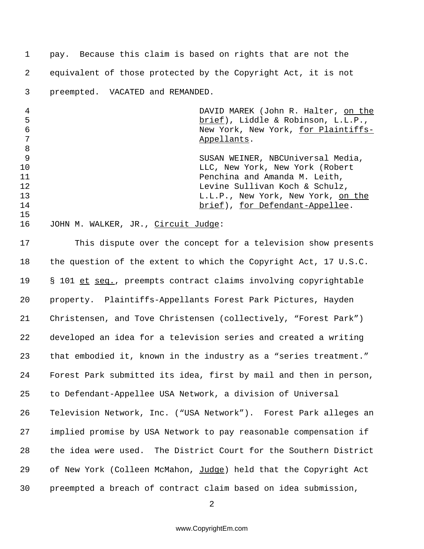pay. Because this claim is based on rights that are not the equivalent of those protected by the Copyright Act, it is not preempted. VACATED and REMANDED.

 DAVID MAREK (John R. Halter, on the brief), Liddle & Robinson, L.L.P., New York, New York, for Plaintiffs-7 Appellants. SUSAN WEINER, NBCUniversal Media, 10 LLC, New York, New York (Robert Penchina and Amanda M. Leith, Levine Sullivan Koch & Schulz, **L.L.P., New York, New York, <u>on the</u>** 14 brief), for Defendant-Appellee.

16 JOHN M. WALKER, JR., Circuit Judge:

 This dispute over the concept for a television show presents the question of the extent to which the Copyright Act, 17 U.S.C. 19 § 101 et seq., preempts contract claims involving copyrightable property. Plaintiffs-Appellants Forest Park Pictures, Hayden Christensen, and Tove Christensen (collectively, "Forest Park") developed an idea for a television series and created a writing that embodied it, known in the industry as a "series treatment." Forest Park submitted its idea, first by mail and then in person, to Defendant-Appellee USA Network, a division of Universal Television Network, Inc. ("USA Network"). Forest Park alleges an implied promise by USA Network to pay reasonable compensation if the idea were used. The District Court for the Southern District of New York (Colleen McMahon, Judge) held that the Copyright Act preempted a breach of contract claim based on idea submission,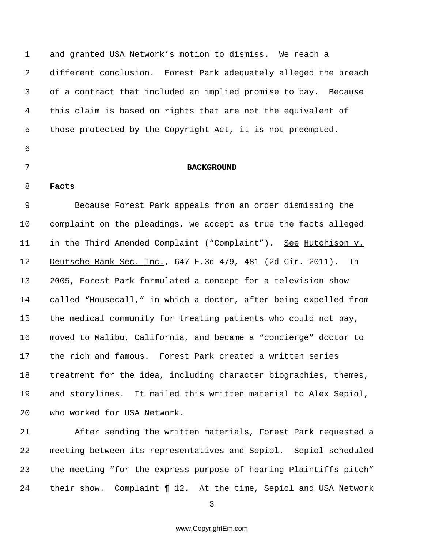and granted USA Network's motion to dismiss. We reach a different conclusion. Forest Park adequately alleged the breach of a contract that included an implied promise to pay. Because this claim is based on rights that are not the equivalent of those protected by the Copyright Act, it is not preempted.

- 
- 

## **BACKGROUND**

**Facts**

 Because Forest Park appeals from an order dismissing the complaint on the pleadings, we accept as true the facts alleged 11 in the Third Amended Complaint ("Complaint"). See Hutchison v. Deutsche Bank Sec. Inc., 647 F.3d 479, 481 (2d Cir. 2011). In 2005, Forest Park formulated a concept for a television show called "Housecall," in which a doctor, after being expelled from the medical community for treating patients who could not pay, moved to Malibu, California, and became a "concierge" doctor to the rich and famous. Forest Park created a written series treatment for the idea, including character biographies, themes, and storylines. It mailed this written material to Alex Sepiol, who worked for USA Network.

 After sending the written materials, Forest Park requested a meeting between its representatives and Sepiol. Sepiol scheduled the meeting "for the express purpose of hearing Plaintiffs pitch" their show. Complaint ¶ 12. At the time, Sepiol and USA Network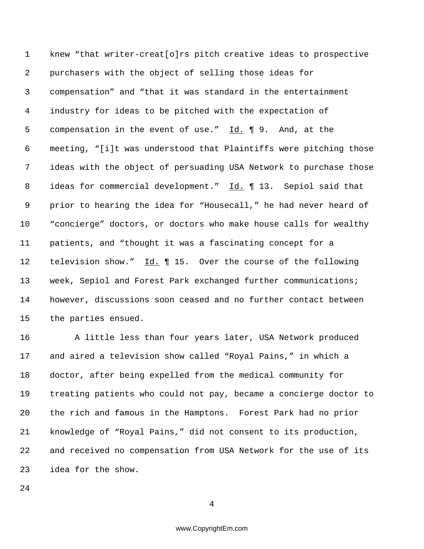knew "that writer-creat[o]rs pitch creative ideas to prospective purchasers with the object of selling those ideas for compensation" and "that it was standard in the entertainment industry for ideas to be pitched with the expectation of compensation in the event of use." Id. ¶ 9.And, at the meeting, "[i]t was understood that Plaintiffs were pitching those ideas with the object of persuading USA Network to purchase those 8 ideas for commercial development." Id. 13. Sepiol said that prior to hearing the idea for "Housecall," he had never heard of "concierge" doctors, or doctors who make house calls for wealthy patients, and "thought it was a fascinating concept for a television show." Id. ¶ 15. Over the course of the following week, Sepiol and Forest Park exchanged further communications; however, discussions soon ceased and no further contact between the parties ensued.

 A little less than four years later, USA Network produced and aired a television show called "Royal Pains," in which a doctor, after being expelled from the medical community for treating patients who could not pay, became a concierge doctor to the rich and famous in the Hamptons. Forest Park had no prior knowledge of "Royal Pains," did not consent to its production, and received no compensation from USA Network for the use of its idea for the show.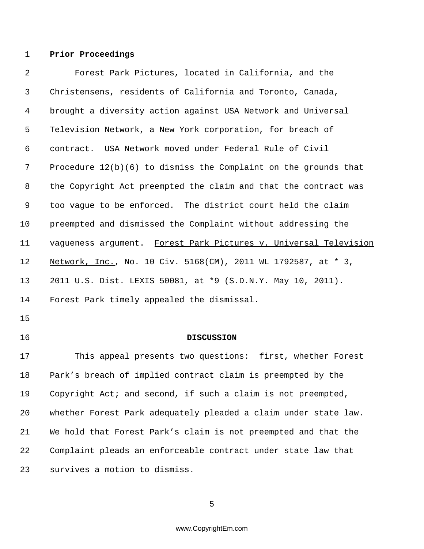## **Prior Proceedings**

 Forest Park Pictures, located in California, and the Christensens, residents of California and Toronto, Canada, brought a diversity action against USA Network and Universal Television Network, a New York corporation, for breach of contract. USA Network moved under Federal Rule of Civil Procedure 12(b)(6) to dismiss the Complaint on the grounds that the Copyright Act preempted the claim and that the contract was too vague to be enforced. The district court held the claim preempted and dismissed the Complaint without addressing the vagueness argument.Forest Park Pictures v. Universal Television Network, Inc., No. 10 Civ. 5168(CM), 2011 WL 1792587, at \* 3, 2011 U.S. Dist. LEXIS 50081, at \*9 (S.D.N.Y. May 10, 2011). Forest Park timely appealed the dismissal.

- 
- 

## **DISCUSSION**

 This appeal presents two questions: first, whether Forest Park's breach of implied contract claim is preempted by the Copyright Act; and second, if such a claim is not preempted, whether Forest Park adequately pleaded a claim under state law. We hold that Forest Park's claim is not preempted and that the Complaint pleads an enforceable contract under state law that survives a motion to dismiss.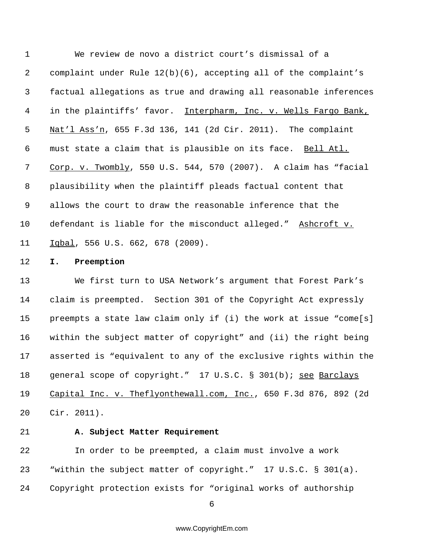| $\mathbf{1}$ | We review de novo a district court's dismissal of a                |
|--------------|--------------------------------------------------------------------|
| 2            | complaint under Rule $12(b)(6)$ , accepting all of the complaint's |
| 3            | factual allegations as true and drawing all reasonable inferences  |
| 4            | in the plaintiffs' favor. Interpharm, Inc. v. Wells Fargo Bank,    |
| 5            | Nat'l Ass'n, 655 F.3d 136, 141 (2d Cir. 2011). The complaint       |
| 6            | must state a claim that is plausible on its face. Bell Atl.        |
| 7            | Corp. v. Twombly, 550 U.S. 544, 570 (2007). A claim has "facial    |
| 8            | plausibility when the plaintiff pleads factual content that        |
| 9            | allows the court to draw the reasonable inference that the         |
| 10           | defendant is liable for the misconduct alleged." Ashcroft v.       |
| 11           | Iqbal, 556 U.S. 662, 678 (2009).                                   |

**I. Preemption**

 We first turn to USA Network's argument that Forest Park's claim is preempted. Section 301 of the Copyright Act expressly preempts a state law claim only if (i) the work at issue "come[s] within the subject matter of copyright" and (ii) the right being asserted is "equivalent to any of the exclusive rights within the 18 general scope of copyright." 17 U.S.C. § 301(b); see Barclays 19 Capital Inc. v. Theflyonthewall.com, Inc., 650 F.3d 876, 892 (2d Cir. 2011).

# **A. Subject Matter Requirement**

 In order to be preempted, a claim must involve a work "within the subject matter of copyright." 17 U.S.C. § 301(a). Copyright protection exists for "original works of authorship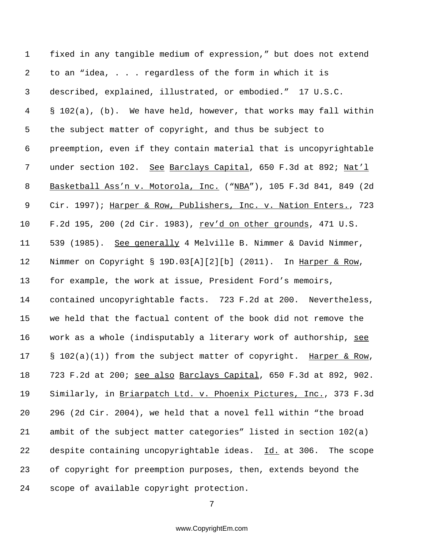fixed in any tangible medium of expression," but does not extend to an "idea, . . . regardless of the form in which it is described, explained, illustrated, or embodied." 17 U.S.C. § 102(a), (b). We have held, however, that works may fall within the subject matter of copyright, and thus be subject to preemption, even if they contain material that is uncopyrightable 7 under section 102. See Barclays Capital, 650 F.3d at 892; Nat'l Basketball Ass'n v. Motorola, Inc. ("NBA"), 105 F.3d 841, 849 (2d 9 Cir. 1997); Harper & Row, Publishers, Inc. v. Nation Enters., 723 F.2d 195, 200 (2d Cir. 1983), rev'd on other grounds, 471 U.S. 539 (1985). See generally 4 Melville B. Nimmer & David Nimmer, 12 Nimmer on Copyright § 19D.03[A][2][b] (2011). In Harper & Row, for example, the work at issue, President Ford's memoirs, contained uncopyrightable facts. 723 F.2d at 200. Nevertheless, we held that the factual content of the book did not remove the 16 work as a whole (indisputably a literary work of authorship, see § 102(a)(1)) from the subject matter of copyright. Harper & Row, 723 F.2d at 200; see also Barclays Capital, 650 F.3d at 892, 902. Similarly, in Briarpatch Ltd. v. Phoenix Pictures, Inc., 373 F.3d 296 (2d Cir. 2004), we held that a novel fell within "the broad ambit of the subject matter categories" listed in section 102(a) 22 despite containing uncopyrightable ideas. Id. at 306. The scope of copyright for preemption purposes, then, extends beyond the scope of available copyright protection.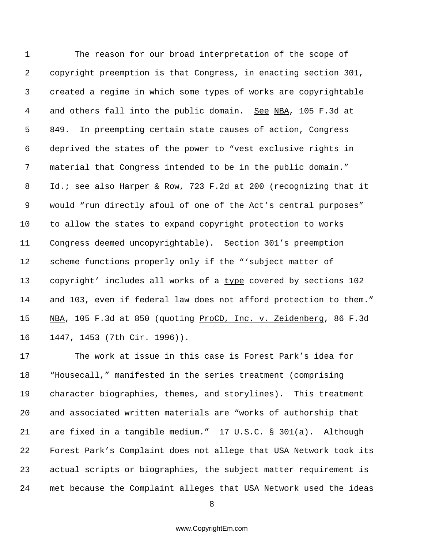The reason for our broad interpretation of the scope of copyright preemption is that Congress, in enacting section 301, created a regime in which some types of works are copyrightable 4 and others fall into the public domain. See NBA, 105 F.3d at 849. In preempting certain state causes of action, Congress deprived the states of the power to "vest exclusive rights in material that Congress intended to be in the public domain." 8 Id.; see also Harper & Row, 723 F.2d at 200 (recognizing that it would "run directly afoul of one of the Act's central purposes" to allow the states to expand copyright protection to works Congress deemed uncopyrightable). Section 301's preemption scheme functions properly only if the "'subject matter of 13 copyright' includes all works of a type covered by sections 102 and 103, even if federal law does not afford protection to them." 15 NBA, 105 F.3d at 850 (quoting ProCD, Inc. v. Zeidenberg, 86 F.3d 1447, 1453 (7th Cir. 1996)).

 The work at issue in this case is Forest Park's idea for "Housecall," manifested in the series treatment (comprising character biographies, themes, and storylines).This treatment and associated written materials are "works of authorship that are fixed in a tangible medium." 17 U.S.C. § 301(a). Although Forest Park's Complaint does not allege that USA Network took its actual scripts or biographies, the subject matter requirement is met because the Complaint alleges that USA Network used the ideas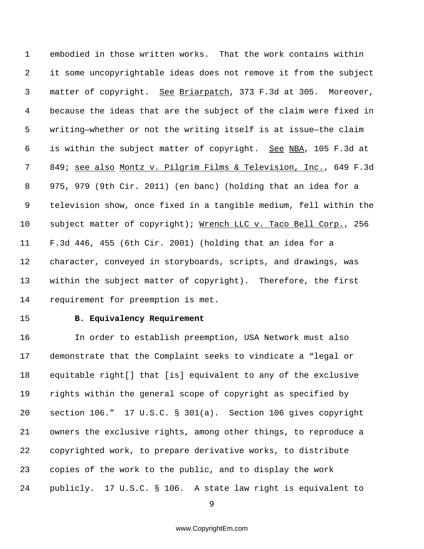embodied in those written works. That the work contains within it some uncopyrightable ideas does not remove it from the subject matter of copyright. See Briarpatch, 373 F.3d at 305. Moreover, because the ideas that are the subject of the claim were fixed in writing—whether or not the writing itself is at issue—the claim 6 is within the subject matter of copyright. See NBA, 105 F.3d at 849; see also Montz v. Pilgrim Films & Television, Inc., 649 F.3d 975, 979 (9th Cir. 2011) (en banc) (holding that an idea for a television show, once fixed in a tangible medium, fell within the 10 subject matter of copyright); Wrench LLC v. Taco Bell Corp., 256 F.3d 446, 455 (6th Cir. 2001) (holding that an idea for a character, conveyed in storyboards, scripts, and drawings, was within the subject matter of copyright). Therefore, the first requirement for preemption is met.

## **B. Equivalency Requirement**

 In order to establish preemption, USA Network must also demonstrate that the Complaint seeks to vindicate a "legal or equitable right[] that [is] equivalent to any of the exclusive rights within the general scope of copyright as specified by section 106." 17 U.S.C. § 301(a). Section 106 gives copyright owners the exclusive rights, among other things, to reproduce a copyrighted work, to prepare derivative works, to distribute copies of the work to the public, and to display the work publicly. 17 U.S.C. § 106. A state law right is equivalent to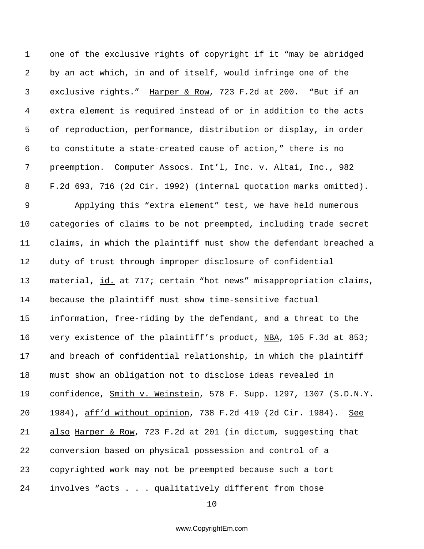one of the exclusive rights of copyright if it "may be abridged by an act which, in and of itself, would infringe one of the exclusive rights." Harper & Row, 723 F.2d at 200. "But if an extra element is required instead of or in addition to the acts of reproduction, performance, distribution or display, in order to constitute a state-created cause of action," there is no 7 preemption. Computer Assocs. Int'l, Inc. v. Altai, Inc., 982 F.2d 693, 716 (2d Cir. 1992) (internal quotation marks omitted). Applying this "extra element" test, we have held numerous categories of claims to be not preempted, including trade secret claims, in which the plaintiff must show the defendant breached a duty of trust through improper disclosure of confidential 13 material, id. at 717; certain "hot news" misappropriation claims, because the plaintiff must show time-sensitive factual information, free-riding by the defendant, and a threat to the 16 very existence of the plaintiff's product, NBA, 105 F.3d at 853; and breach of confidential relationship, in which the plaintiff must show an obligation not to disclose ideas revealed in confidence, Smith v. Weinstein, 578 F. Supp. 1297, 1307 (S.D.N.Y. 1984), aff'd without opinion, 738 F.2d 419 (2d Cir. 1984). See also Harper & Row, 723 F.2d at 201 (in dictum, suggesting that conversion based on physical possession and control of a copyrighted work may not be preempted because such a tort involves "acts . . . qualitatively different from those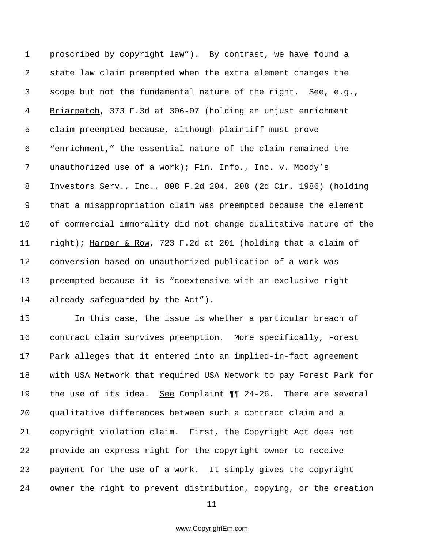proscribed by copyright law"). By contrast, we have found a state law claim preempted when the extra element changes the scope but not the fundamental nature of the right. See, e.g., 4 Briarpatch, 373 F.3d at 306-07 (holding an unjust enrichment claim preempted because, although plaintiff must prove "enrichment," the essential nature of the claim remained the 7 unauthorized use of a work); Fin. Info., Inc. v. Moody's Investors Serv., Inc., 808 F.2d 204, 208 (2d Cir. 1986) (holding that a misappropriation claim was preempted because the element of commercial immorality did not change qualitative nature of the right); Harper & Row, 723 F.2d at 201 (holding that a claim of conversion based on unauthorized publication of a work was preempted because it is "coextensive with an exclusive right already safeguarded by the Act").

 In this case, the issue is whether a particular breach of contract claim survives preemption. More specifically, Forest Park alleges that it entered into an implied-in-fact agreement with USA Network that required USA Network to pay Forest Park for the use of its idea. See Complaint ¶¶ 24-26. There are several qualitative differences between such a contract claim and a copyright violation claim. First, the Copyright Act does not provide an express right for the copyright owner to receive payment for the use of a work. It simply gives the copyright owner the right to prevent distribution, copying, or the creation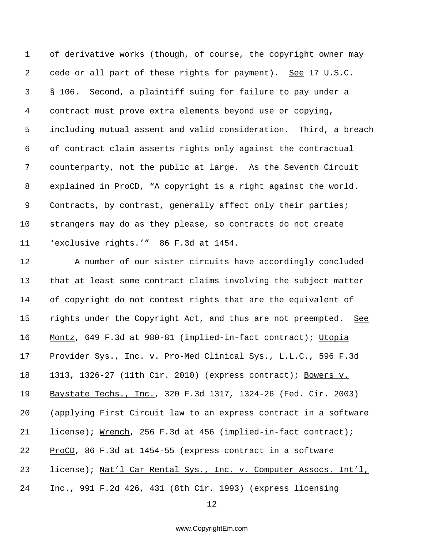of derivative works (though, of course, the copyright owner may cede or all part of these rights for payment). See 17 U.S.C. § 106. Second, a plaintiff suing for failure to pay under a contract must prove extra elements beyond use or copying, including mutual assent and valid consideration. Third, a breach of contract claim asserts rights only against the contractual counterparty, not the public at large. As the Seventh Circuit 8 explained in ProCD, "A copyright is a right against the world. 9 Contracts, by contrast, generally affect only their parties; strangers may do as they please, so contracts do not create 'exclusive rights.'" 86 F.3d at 1454.

12 A number of our sister circuits have accordingly concluded that at least some contract claims involving the subject matter of copyright do not contest rights that are the equivalent of 15 rights under the Copyright Act, and thus are not preempted. See Montz, 649 F.3d at 980-81 (implied-in-fact contract); Utopia Provider Sys., Inc. v. Pro-Med Clinical Sys., L.L.C., 596 F.3d 1313, 1326-27 (11th Cir. 2010) (express contract); Bowers v. Baystate Techs., Inc., 320 F.3d 1317, 1324-26 (Fed. Cir. 2003) (applying First Circuit law to an express contract in a software license); Wrench, 256 F.3d at 456 (implied-in-fact contract); ProCD, 86 F.3d at 1454-55 (express contract in a software license); Nat'l Car Rental Sys., Inc. v. Computer Assocs. Int'l, Inc., 991 F.2d 426, 431 (8th Cir. 1993) (express licensing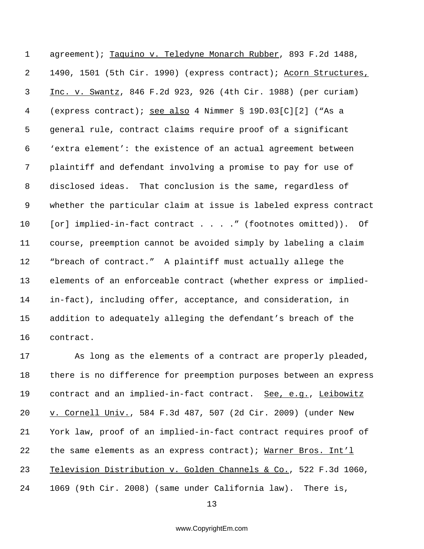agreement); Taquino v. Teledyne Monarch Rubber, 893 F.2d 1488, 1490, 1501 (5th Cir. 1990) (express contract); Acorn Structures, Inc. v. Swantz, 846 F.2d 923, 926 (4th Cir. 1988) (per curiam) (express contract); see also 4 Nimmer § 19D.03[C][2] ("As a general rule, contract claims require proof of a significant 'extra element': the existence of an actual agreement between plaintiff and defendant involving a promise to pay for use of disclosed ideas. That conclusion is the same, regardless of whether the particular claim at issue is labeled express contract 10 [or] implied-in-fact contract . . . . " (footnotes omitted)). Of course, preemption cannot be avoided simply by labeling a claim "breach of contract." A plaintiff must actually allege the elements of an enforceable contract (whether express or implied- in-fact), including offer, acceptance, and consideration, in addition to adequately alleging the defendant's breach of the contract.

 As long as the elements of a contract are properly pleaded, there is no difference for preemption purposes between an express contract and an implied-in-fact contract. See, e.g., Leibowitz v. Cornell Univ., 584 F.3d 487, 507 (2d Cir. 2009) (under New York law, proof of an implied-in-fact contract requires proof of the same elements as an express contract); Warner Bros. Int'l Television Distribution v. Golden Channels & Co., 522 F.3d 1060, 1069 (9th Cir. 2008) (same under California law). There is,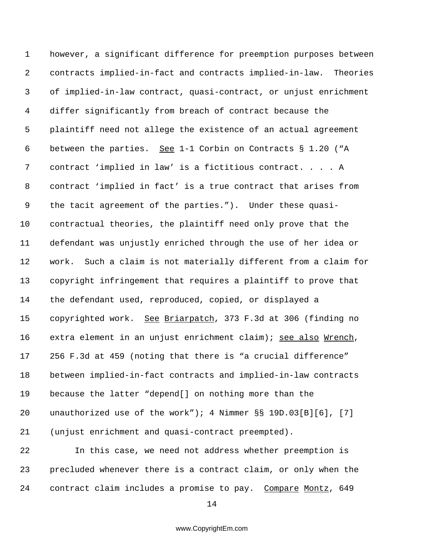however, a significant difference for preemption purposes between contracts implied-in-fact and contracts implied-in-law. Theories of implied-in-law contract, quasi-contract, or unjust enrichment differ significantly from breach of contract because the plaintiff need not allege the existence of an actual agreement between the parties. See 1-1 Corbin on Contracts § 1.20 ("A contract 'implied in law' is a fictitious contract. . . . A contract 'implied in fact' is a true contract that arises from the tacit agreement of the parties."). Under these quasi- contractual theories, the plaintiff need only prove that the defendant was unjustly enriched through the use of her idea or work. Such a claim is not materially different from a claim for copyright infringement that requires a plaintiff to prove that the defendant used, reproduced, copied, or displayed a copyrighted work. See Briarpatch, 373 F.3d at 306 (finding no 16 extra element in an unjust enrichment claim); see also Wrench, 256 F.3d at 459 (noting that there is "a crucial difference" between implied-in-fact contracts and implied-in-law contracts because the latter "depend[] on nothing more than the unauthorized use of the work"); 4 Nimmer §§ 19D.03[B][6], [7] (unjust enrichment and quasi-contract preempted).

 In this case, we need not address whether preemption is precluded whenever there is a contract claim, or only when the contract claim includes a promise to pay. Compare Montz, 649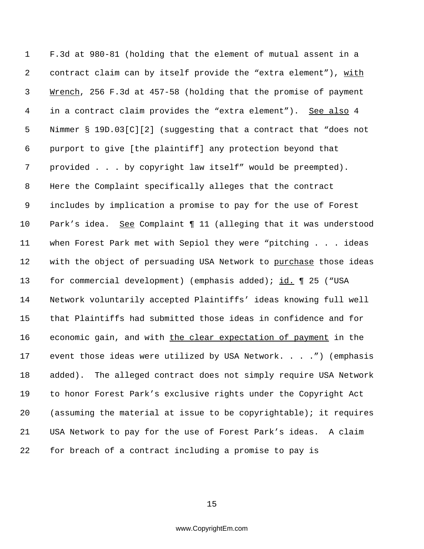F.3d at 980-81 (holding that the element of mutual assent in a contract claim can by itself provide the "extra element"), with Wrench, 256 F.3d at 457-58 (holding that the promise of payment 4 in a contract claim provides the "extra element"). See also 4 Nimmer § 19D.03[C][2] (suggesting that a contract that "does not purport to give [the plaintiff] any protection beyond that provided . . . by copyright law itself" would be preempted). Here the Complaint specifically alleges that the contract includes by implication a promise to pay for the use of Forest 10 Park's idea. See Complaint | 11 (alleging that it was understood when Forest Park met with Sepiol they were "pitching . . . ideas 12 with the object of persuading USA Network to purchase those ideas 13 for commercial development) (emphasis added); id. ¶ 25 ("USA Network voluntarily accepted Plaintiffs' ideas knowing full well that Plaintiffs had submitted those ideas in confidence and for 16 economic gain, and with the clear expectation of payment in the event those ideas were utilized by USA Network. . . .") (emphasis added). The alleged contract does not simply require USA Network to honor Forest Park's exclusive rights under the Copyright Act 20 (assuming the material at issue to be copyrightable); it requires USA Network to pay for the use of Forest Park's ideas. A claim for breach of a contract including a promise to pay is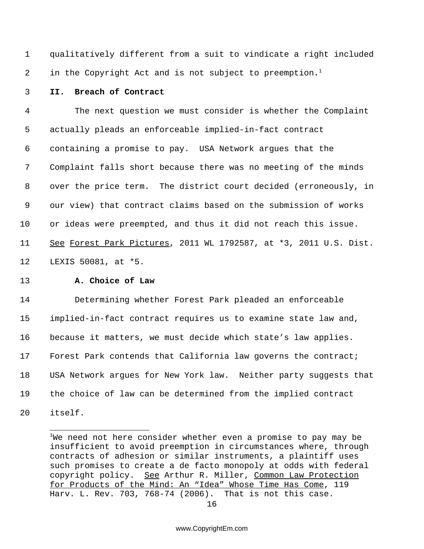qualitatively different from a suit to vindicate a right included 2 in the Copyright Act and is not subject to preemption.<sup>1</sup>

# **II. Breach of Contract**

 The next question we must consider is whether the Complaint actually pleads an enforceable implied-in-fact contract containing a promise to pay. USA Network argues that the Complaint falls short because there was no meeting of the minds over the price term. The district court decided (erroneously, in our view) that contract claims based on the submission of works or ideas were preempted, and thus it did not reach this issue. See Forest Park Pictures, 2011 WL 1792587, at \*3, 2011 U.S. Dist. LEXIS 50081, at \*5.

## **A. Choice of Law**

 Determining whether Forest Park pleaded an enforceable implied-in-fact contract requires us to examine state law and, because it matters, we must decide which state's law applies. Forest Park contends that California law governs the contract; USA Network argues for New York law. Neither party suggests that the choice of law can be determined from the implied contract itself.

We need not here consider whether even a promise to pay may be insufficient to avoid preemption in circumstances where, through contracts of adhesion or similar instruments, a plaintiff uses such promises to create a de facto monopoly at odds with federal copyright policy. See Arthur R. Miller, Common Law Protection for Products of the Mind: An "Idea" Whose Time Has Come, 119 Harv. L. Rev. 703, 768-74 (2006). That is not this case.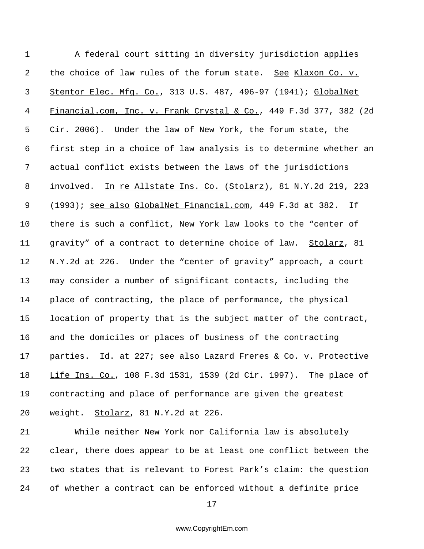A federal court sitting in diversity jurisdiction applies the choice of law rules of the forum state. See Klaxon Co. v. Stentor Elec. Mfg. Co., 313 U.S. 487, 496-97 (1941); GlobalNet 4 Financial.com, Inc. v. Frank Crystal & Co., 449 F.3d 377, 382 (2d Cir. 2006). Under the law of New York, the forum state, the first step in a choice of law analysis is to determine whether an actual conflict exists between the laws of the jurisdictions involved. In re Allstate Ins. Co. (Stolarz), 81 N.Y.2d 219, 223 9 (1993); see also GlobalNet Financial.com, 449 F.3d at 382. If there is such a conflict, New York law looks to the "center of gravity" of a contract to determine choice of law. Stolarz, 81 N.Y.2d at 226. Under the "center of gravity" approach, a court may consider a number of significant contacts, including the place of contracting, the place of performance, the physical location of property that is the subject matter of the contract, and the domiciles or places of business of the contracting parties. Id. at 227; see also Lazard Freres & Co. v. Protective Life Ins. Co., 108 F.3d 1531, 1539 (2d Cir. 1997). The place of contracting and place of performance are given the greatest weight. Stolarz, 81 N.Y.2d at 226.

 While neither New York nor California law is absolutely clear, there does appear to be at least one conflict between the two states that is relevant to Forest Park's claim: the question of whether a contract can be enforced without a definite price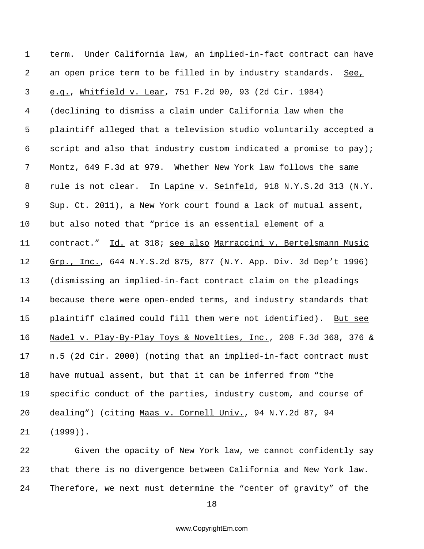term. Under California law, an implied-in-fact contract can have an open price term to be filled in by industry standards. See, e.g., Whitfield v. Lear, 751 F.2d 90, 93 (2d Cir. 1984) (declining to dismiss a claim under California law when the plaintiff alleged that a television studio voluntarily accepted a script and also that industry custom indicated a promise to pay); Montz, 649 F.3d at 979. Whether New York law follows the same 8 rule is not clear. In Lapine v. Seinfeld, 918 N.Y.S.2d 313 (N.Y. Sup. Ct. 2011), a New York court found a lack of mutual assent, but also noted that "price is an essential element of a contract." Id. at 318; see also Marraccini v. Bertelsmann Music Grp., Inc., 644 N.Y.S.2d 875, 877 (N.Y. App. Div. 3d Dep't 1996) (dismissing an implied-in-fact contract claim on the pleadings because there were open-ended terms, and industry standards that plaintiff claimed could fill them were not identified). But see Nadel v. Play-By-Play Toys & Novelties, Inc., 208 F.3d 368, 376 & n.5 (2d Cir. 2000) (noting that an implied-in-fact contract must have mutual assent, but that it can be inferred from "the specific conduct of the parties, industry custom, and course of dealing") (citing Maas v. Cornell Univ., 94 N.Y.2d 87, 94 (1999)).

 Given the opacity of New York law, we cannot confidently say that there is no divergence between California and New York law. Therefore, we next must determine the "center of gravity" of the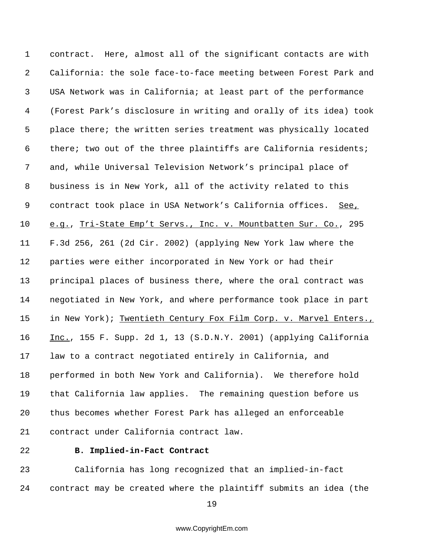contract. Here, almost all of the significant contacts are with California: the sole face-to-face meeting between Forest Park and USA Network was in California; at least part of the performance (Forest Park's disclosure in writing and orally of its idea) took place there; the written series treatment was physically located there; two out of the three plaintiffs are California residents; and, while Universal Television Network's principal place of business is in New York, all of the activity related to this 9 contract took place in USA Network's California offices. See, e.g., Tri-State Emp't Servs., Inc. v. Mountbatten Sur. Co., 295 F.3d 256, 261 (2d Cir. 2002) (applying New York law where the parties were either incorporated in New York or had their principal places of business there, where the oral contract was negotiated in New York, and where performance took place in part in New York); Twentieth Century Fox Film Corp. v. Marvel Enters., Inc., 155 F. Supp. 2d 1, 13 (S.D.N.Y. 2001) (applying California law to a contract negotiated entirely in California, and performed in both New York and California). We therefore hold that California law applies. The remaining question before us thus becomes whether Forest Park has alleged an enforceable contract under California contract law.

## **B. Implied-in-Fact Contract**

 California has long recognized that an implied-in-fact contract may be created where the plaintiff submits an idea (the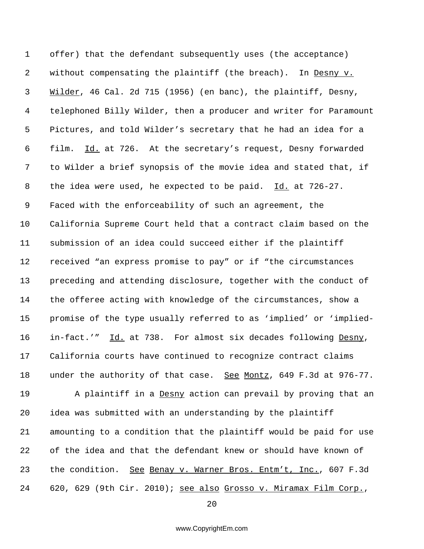offer) that the defendant subsequently uses (the acceptance) without compensating the plaintiff (the breach). In Desny v. 3 Wilder, 46 Cal. 2d 715 (1956) (en banc), the plaintiff, Desny, telephoned Billy Wilder, then a producer and writer for Paramount Pictures, and told Wilder's secretary that he had an idea for a 6 film. Id. at 726. At the secretary's request, Desny forwarded to Wilder a brief synopsis of the movie idea and stated that, if 8 the idea were used, he expected to be paid. Id. at 726-27. Faced with the enforceability of such an agreement, the California Supreme Court held that a contract claim based on the submission of an idea could succeed either if the plaintiff received "an express promise to pay" or if "the circumstances preceding and attending disclosure, together with the conduct of the offeree acting with knowledge of the circumstances, show a promise of the type usually referred to as 'implied' or 'implied-16 in-fact.'" Id. at 738. For almost six decades following Desny, California courts have continued to recognize contract claims under the authority of that case. See Montz, 649 F.3d at 976-77. A plaintiff in a Desny action can prevail by proving that an idea was submitted with an understanding by the plaintiff amounting to a condition that the plaintiff would be paid for use of the idea and that the defendant knew or should have known of the condition. See Benay v. Warner Bros. Entm't, Inc., 607 F.3d

620, 629 (9th Cir. 2010); see also Grosso v. Miramax Film Corp.,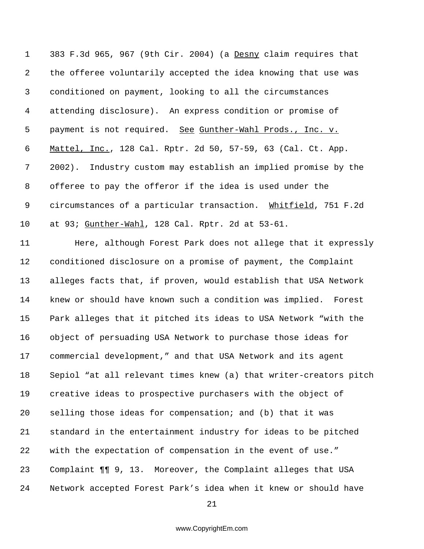383 F.3d 965, 967 (9th Cir. 2004) (a Desny claim requires that the offeree voluntarily accepted the idea knowing that use was conditioned on payment, looking to all the circumstances attending disclosure). An express condition or promise of payment is not required. See Gunther-Wahl Prods., Inc. v. Mattel, Inc., 128 Cal. Rptr. 2d 50, 57-59, 63 (Cal. Ct. App. 2002). Industry custom may establish an implied promise by the offeree to pay the offeror if the idea is used under the 9 circumstances of a particular transaction. Whitfield, 751 F.2d 10 at 93; Gunther-Wahl, 128 Cal. Rptr. 2d at 53-61.

11 Here, although Forest Park does not allege that it expressly conditioned disclosure on a promise of payment, the Complaint alleges facts that, if proven, would establish that USA Network knew or should have known such a condition was implied. Forest Park alleges that it pitched its ideas to USA Network "with the object of persuading USA Network to purchase those ideas for commercial development," and that USA Network and its agent Sepiol "at all relevant times knew (a) that writer-creators pitch creative ideas to prospective purchasers with the object of selling those ideas for compensation; and (b) that it was standard in the entertainment industry for ideas to be pitched with the expectation of compensation in the event of use." Complaint ¶¶ 9, 13. Moreover, the Complaint alleges that USA Network accepted Forest Park's idea when it knew or should have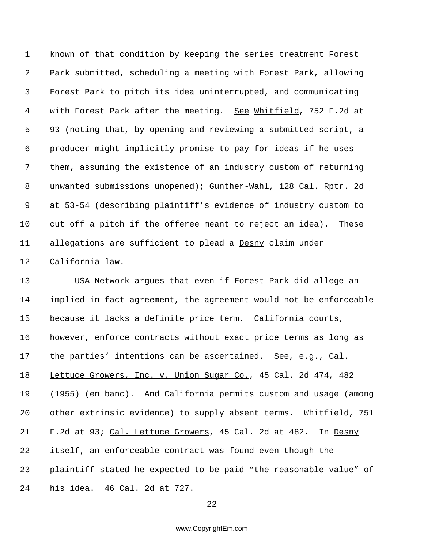known of that condition by keeping the series treatment Forest Park submitted, scheduling a meeting with Forest Park, allowing Forest Park to pitch its idea uninterrupted, and communicating 4 with Forest Park after the meeting. See Whitfield, 752 F.2d at 93 (noting that, by opening and reviewing a submitted script, a producer might implicitly promise to pay for ideas if he uses them, assuming the existence of an industry custom of returning 8 unwanted submissions unopened); Gunther-Wahl, 128 Cal. Rptr. 2d at 53-54 (describing plaintiff's evidence of industry custom to cut off a pitch if the offeree meant to reject an idea). These 11 allegations are sufficient to plead a Desny claim under

California law.

 USA Network argues that even if Forest Park did allege an implied-in-fact agreement, the agreement would not be enforceable because it lacks a definite price term. California courts, however, enforce contracts without exact price terms as long as the parties' intentions can be ascertained. See, e.g., Cal. Lettuce Growers, Inc. v. Union Sugar Co., 45 Cal. 2d 474, 482 (1955) (en banc). And California permits custom and usage (among other extrinsic evidence) to supply absent terms. Whitfield, 751 F.2d at 93; Cal. Lettuce Growers, 45 Cal. 2d at 482. In Desny itself, an enforceable contract was found even though the plaintiff stated he expected to be paid "the reasonable value" of his idea. 46 Cal. 2d at 727.